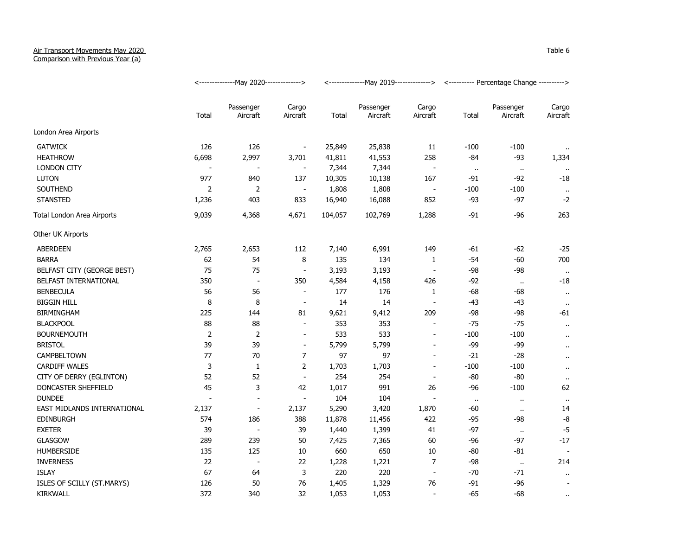## Air Transport Movements May 2020

Comparison with Previous Year (a)

|                             | <u>&lt;---------------May 2020-----</u> ---------> |                          |                          |         |                       |                          | <u>&lt;----------</u> Percentage Change ----------> |                       |                          |
|-----------------------------|----------------------------------------------------|--------------------------|--------------------------|---------|-----------------------|--------------------------|-----------------------------------------------------|-----------------------|--------------------------|
|                             | Total                                              | Passenger<br>Aircraft    | Cargo<br>Aircraft        | Total   | Passenger<br>Aircraft | Cargo<br>Aircraft        | Total                                               | Passenger<br>Aircraft | Cargo<br>Aircraft        |
| London Area Airports        |                                                    |                          |                          |         |                       |                          |                                                     |                       |                          |
| <b>GATWICK</b>              | 126                                                | 126                      | $\blacksquare$           | 25,849  | 25,838                | 11                       | $-100$                                              | $-100$                |                          |
| <b>HEATHROW</b>             | 6,698                                              | 2,997                    | 3,701                    | 41,811  | 41,553                | 258                      | $-84$                                               | $-93$                 | 1,334                    |
| <b>LONDON CITY</b>          |                                                    |                          | $\overline{\phantom{a}}$ | 7,344   | 7,344                 | $\overline{\phantom{a}}$ | $\bullet\bullet$                                    | $\bullet$             | $\cdots$                 |
| <b>LUTON</b>                | 977                                                | 840                      | 137                      | 10,305  | 10,138                | 167                      | $-91$                                               | $-92$                 | $-18$                    |
| SOUTHEND                    | 2                                                  | $\overline{2}$           | $\blacksquare$           | 1,808   | 1,808                 | $\overline{\phantom{a}}$ | $-100$                                              | $-100$                | $\cdot$ .                |
| <b>STANSTED</b>             | 1,236                                              | 403                      | 833                      | 16,940  | 16,088                | 852                      | $-93$                                               | $-97$                 | $-2$                     |
| Total London Area Airports  | 9,039                                              | 4,368                    | 4,671                    | 104,057 | 102,769               | 1,288                    | $-91$                                               | $-96$                 | 263                      |
| Other UK Airports           |                                                    |                          |                          |         |                       |                          |                                                     |                       |                          |
| <b>ABERDEEN</b>             | 2,765                                              | 2,653                    | 112                      | 7,140   | 6,991                 | 149                      | -61                                                 | $-62$                 | $-25$                    |
| <b>BARRA</b>                | 62                                                 | 54                       | 8                        | 135     | 134                   | 1                        | $-54$                                               | $-60$                 | 700                      |
| BELFAST CITY (GEORGE BEST)  | 75                                                 | 75                       | $\blacksquare$           | 3,193   | 3,193                 | $\overline{\phantom{a}}$ | $-98$                                               | $-98$                 | $\bullet$                |
| BELFAST INTERNATIONAL       | 350                                                | $\overline{\phantom{a}}$ | 350                      | 4,584   | 4,158                 | 426                      | $-92$                                               | $\bullet$             | $-18$                    |
| <b>BENBECULA</b>            | 56                                                 | 56                       | $\blacksquare$           | 177     | 176                   | $\mathbf{1}$             | $-68$                                               | $-68$                 | $\bullet$                |
| <b>BIGGIN HILL</b>          | 8                                                  | 8                        | $\blacksquare$           | 14      | 14                    | $\blacksquare$           | $-43$                                               | $-43$                 | $\alpha$                 |
| <b>BIRMINGHAM</b>           | 225                                                | 144                      | 81                       | 9,621   | 9,412                 | 209                      | -98                                                 | $-98$                 | -61                      |
| <b>BLACKPOOL</b>            | 88                                                 | 88                       | $\blacksquare$           | 353     | 353                   | $\overline{\phantom{a}}$ | $-75$                                               | $-75$                 | $\sim$                   |
| <b>BOURNEMOUTH</b>          | 2                                                  | $\overline{2}$           | $\blacksquare$           | 533     | 533                   | $\blacksquare$           | $-100$                                              | $-100$                | $\ddot{\phantom{1}}$     |
| <b>BRISTOL</b>              | 39                                                 | 39                       | $\blacksquare$           | 5,799   | 5,799                 | $\overline{\phantom{a}}$ | $-99$                                               | $-99$                 | $\ddot{\phantom{1}}$     |
| CAMPBELTOWN                 | 77                                                 | 70                       | 7                        | 97      | 97                    | $\overline{\phantom{a}}$ | $-21$                                               | $-28$                 | $\cdot$ .                |
| <b>CARDIFF WALES</b>        | 3                                                  | 1                        | 2                        | 1,703   | 1,703                 | $\overline{\phantom{a}}$ | $-100$                                              | $-100$                | $\bullet$ .              |
| CITY OF DERRY (EGLINTON)    | 52                                                 | 52                       | $\overline{\phantom{a}}$ | 254     | 254                   | $\sim$                   | $-80$                                               | $-80$                 | $\bullet$                |
| DONCASTER SHEFFIELD         | 45                                                 | 3                        | 42                       | 1,017   | 991                   | 26                       | $-96$                                               | $-100$                | 62                       |
| <b>DUNDEE</b>               |                                                    | $\overline{a}$           | $\sim$                   | 104     | 104                   | $\blacksquare$           | $\cdot$                                             | $\bullet$ .           | $\bullet$                |
| EAST MIDLANDS INTERNATIONAL | 2,137                                              | $\overline{\phantom{a}}$ | 2,137                    | 5,290   | 3,420                 | 1,870                    | -60                                                 | $\cdot$ .             | 14                       |
| <b>EDINBURGH</b>            | 574                                                | 186                      | 388                      | 11,878  | 11,456                | 422                      | $-95$                                               | -98                   | -8                       |
| <b>EXETER</b>               | 39                                                 | $\overline{\phantom{a}}$ | 39                       | 1,440   | 1,399                 | 41                       | $-97$                                               | $\bullet$             | $-5$                     |
| <b>GLASGOW</b>              | 289                                                | 239                      | 50                       | 7,425   | 7,365                 | 60                       | $-96$                                               | $-97$                 | $-17$                    |
| <b>HUMBERSIDE</b>           | 135                                                | 125                      | 10                       | 660     | 650                   | 10                       | -80                                                 | -81                   | $\overline{\phantom{a}}$ |
| <b>INVERNESS</b>            | 22                                                 | $\overline{a}$           | 22                       | 1,228   | 1,221                 | $\overline{7}$           | $-98$                                               | $\alpha$              | 214                      |
| <b>ISLAY</b>                | 67                                                 | 64                       | 3                        | 220     | 220                   | $\blacksquare$           | $-70$                                               | $-71$                 | $\cdot$ .                |
| ISLES OF SCILLY (ST.MARYS)  | 126                                                | 50                       | 76                       | 1,405   | 1,329                 | 76                       | -91                                                 | -96                   |                          |
| KIRKWALL                    | 372                                                | 340                      | 32                       | 1,053   | 1,053                 | $\sim$                   | $-65$                                               | $-68$                 | .,                       |